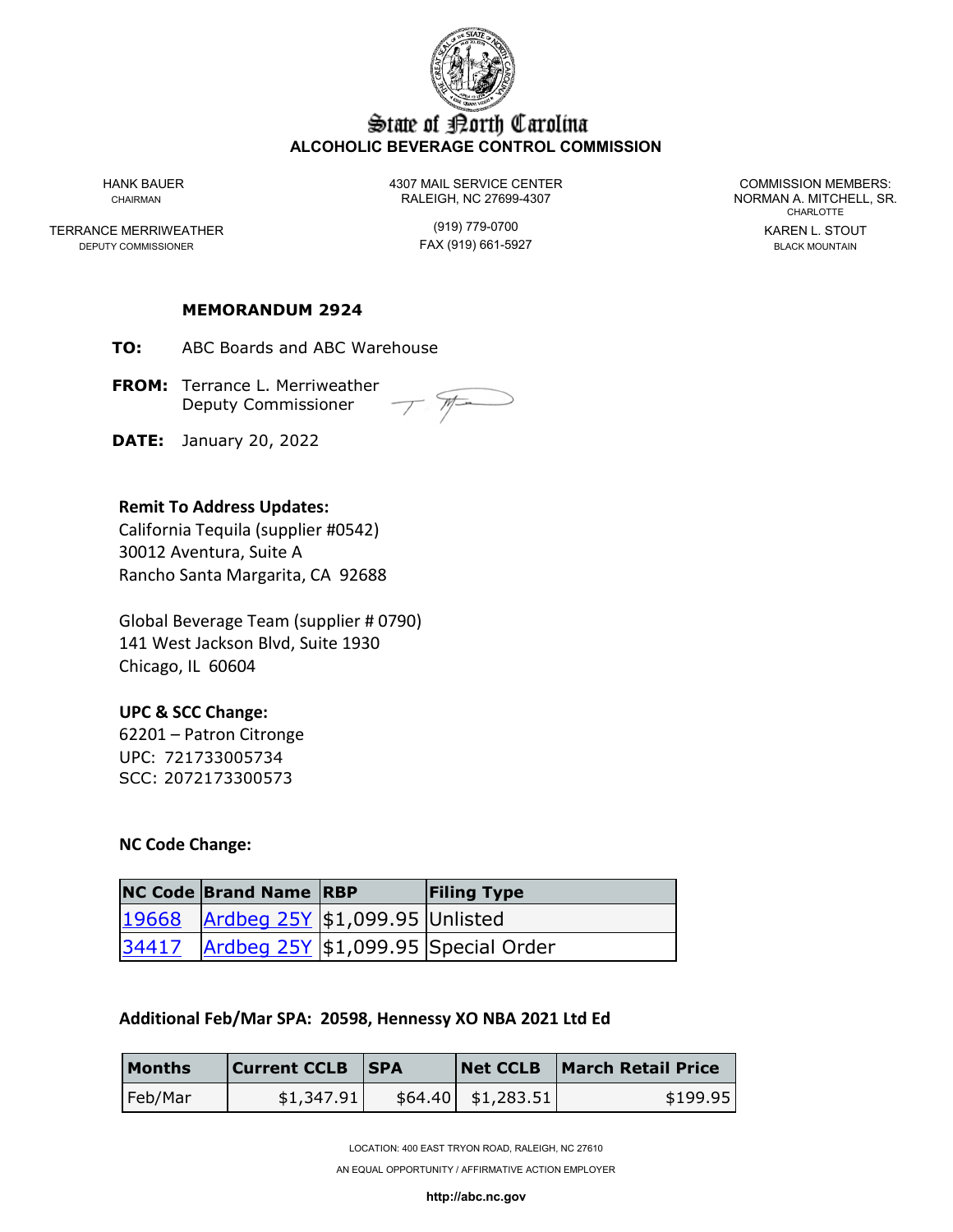

# State of Borth Carolina **ALCOHOLIC BEVERAGE CONTROL COMMISSION**

TERRANCE MERRIWEATHER (919) 779-0700 KAREN L. STOUT DEPUTY COMMISSIONER

HANK BAUER 4307 MAIL SERVICE CENTER COMMISSION MEMBERS: CHAIRMAN RALEIGH, NC 27699-4307 NORMAN A. MITCHELL, SR.

CHARLOTTE

# **MEMORANDUM 2924**

**TO:** ABC Boards and ABC Warehouse

**FROM:** Terrance L. Merriweather Deputy Commissioner

**DATE:** January 20, 2022

# **Remit To Address Updates:**

California Tequila (supplier #0542) 30012 Aventura, Suite A Rancho Santa Margarita, CA 92688

Global Beverage Team (supplier # 0790) 141 West Jackson Blvd, Suite 1930 Chicago, IL 60604

### **UPC & SCC Change:**

62201 – Patron Citronge UPC: 721733005734 SCC: 2072173300573

### **NC Code Change:**

| <b>NC Code Brand Name RBP</b>        | <b>Filing Type</b>                        |
|--------------------------------------|-------------------------------------------|
| 19668 Ardbeg 25Y \$1,099.95 Unlisted |                                           |
|                                      | 34417 Ardbeg 25Y \$1,099.95 Special Order |

### **Additional Feb/Mar SPA: 20598, Hennessy XO NBA 2021 Ltd Ed**

| <b>Months</b> | Current CCLB   SPA |                         | Net CCLB   March Retail Price |
|---------------|--------------------|-------------------------|-------------------------------|
| Feb/Mar       | \$1,347.91         | $$64.40 \mid $1,283.51$ | \$199.95                      |

LOCATION: 400 EAST TRYON ROAD, RALEIGH, NC 27610

AN EQUAL OPPORTUNITY / AFFIRMATIVE ACTION EMPLOYER

**http://abc.nc.gov**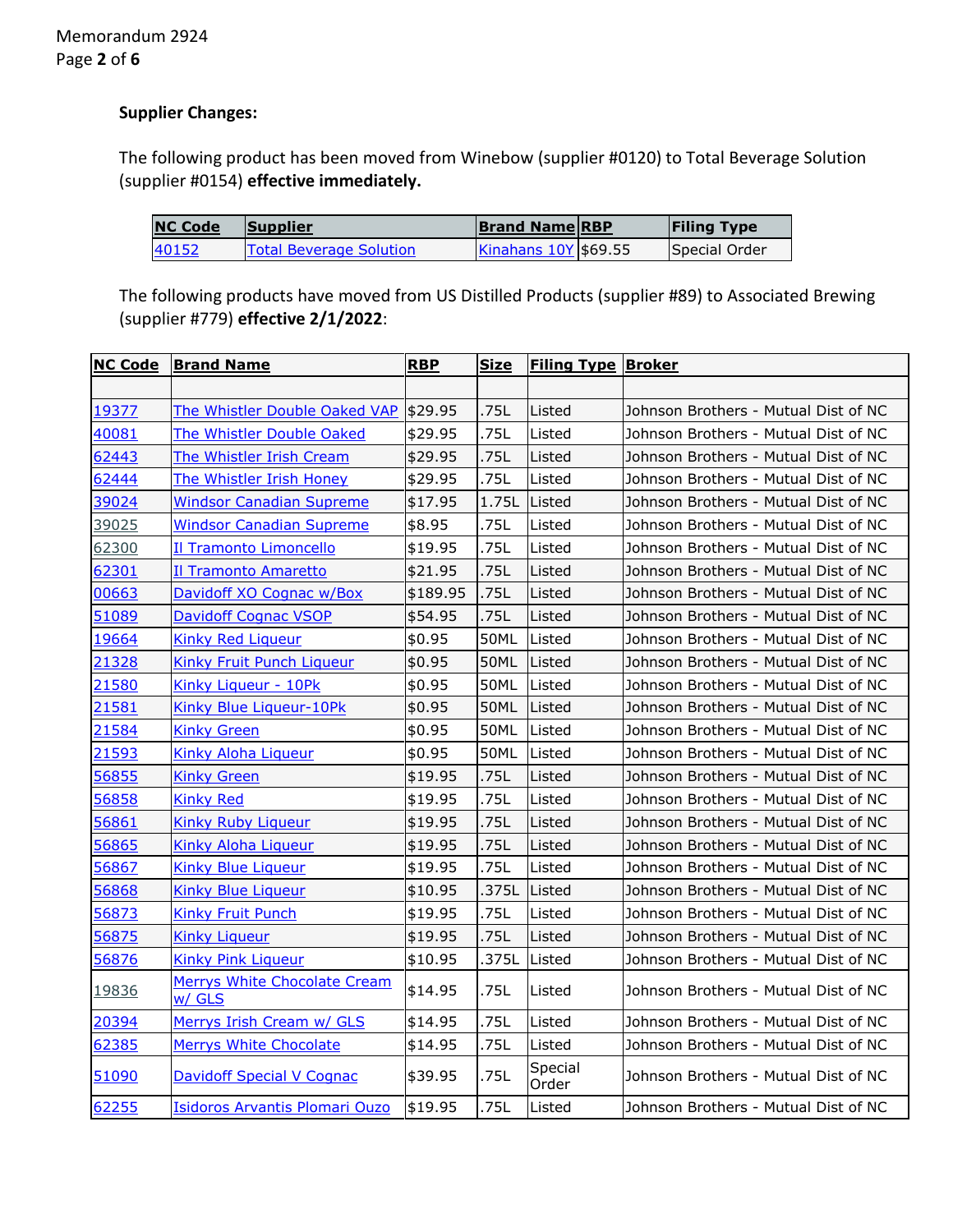# **Supplier Changes:**

The following product has been moved from Winebow (supplier #0120) to Total Beverage Solution (supplier #0154) **effective immediately.**

| <b>NC Code</b> | <b>Supplier</b>                | <b>Brand Name RBP</b> | <b>Filing Type</b> |
|----------------|--------------------------------|-----------------------|--------------------|
| 40152          | <b>Total Beverage Solution</b> | Kinahans 10Y \$69.55  | Special Order      |

The following products have moved from US Distilled Products (supplier #89) to Associated Brewing (supplier #779) **effective 2/1/2022**:

| <b>NC Code</b> | <b>Brand Name</b>                      | <b>RBP</b> | <b>Size</b>  | <b>Filing Type Broker</b> |                                      |
|----------------|----------------------------------------|------------|--------------|---------------------------|--------------------------------------|
|                |                                        |            |              |                           |                                      |
| 19377          | The Whistler Double Oaked VAP          | \$29.95    | .75L         | Listed                    | Johnson Brothers - Mutual Dist of NC |
| 40081          | The Whistler Double Oaked              | \$29.95    | .75L         | Listed                    | Johnson Brothers - Mutual Dist of NC |
| 62443          | The Whistler Irish Cream               | \$29.95    | .75L         | Listed                    | Johnson Brothers - Mutual Dist of NC |
| 62444          | The Whistler Irish Honey               | \$29.95    | .75L         | Listed                    | Johnson Brothers - Mutual Dist of NC |
| 39024          | <b>Windsor Canadian Supreme</b>        | \$17.95    | 1.75L Listed |                           | Johnson Brothers - Mutual Dist of NC |
| 39025          | <b>Windsor Canadian Supreme</b>        | \$8.95     | .75L         | Listed                    | Johnson Brothers - Mutual Dist of NC |
| 62300          | <b>Il Tramonto Limoncello</b>          | \$19.95    | .75L         | Listed                    | Johnson Brothers - Mutual Dist of NC |
| 62301          | Il Tramonto Amaretto                   | \$21.95    | .75L         | Listed                    | Johnson Brothers - Mutual Dist of NC |
| 00663          | Davidoff XO Cognac w/Box               | \$189.95   | .75L         | lListed                   | Johnson Brothers - Mutual Dist of NC |
| 51089          | <b>Davidoff Cognac VSOP</b>            | \$54.95    | .75L         | Listed                    | Johnson Brothers - Mutual Dist of NC |
| 19664          | <b>Kinky Red Liqueur</b>               | \$0.95     | 50ML         | Listed                    | Johnson Brothers - Mutual Dist of NC |
| 21328          | <b>Kinky Fruit Punch Liqueur</b>       | \$0.95     | 50ML         | Listed                    | Johnson Brothers - Mutual Dist of NC |
| 21580          | Kinky Liqueur - 10Pk                   | \$0.95     | 50ML         | Listed                    | Johnson Brothers - Mutual Dist of NC |
| 21581          | Kinky Blue Liqueur-10Pk                | \$0.95     | <b>50ML</b>  | lListed                   | Johnson Brothers - Mutual Dist of NC |
| 21584          | <b>Kinky Green</b>                     | \$0.95     | <b>50ML</b>  | Listed                    | Johnson Brothers - Mutual Dist of NC |
| 21593          | Kinky Aloha Ligueur                    | \$0.95     | <b>50ML</b>  | Listed                    | Johnson Brothers - Mutual Dist of NC |
| 56855          | <b>Kinky Green</b>                     | \$19.95    | .75L         | Listed                    | Johnson Brothers - Mutual Dist of NC |
| 56858          | <b>Kinky Red</b>                       | \$19.95    | .75L         | Listed                    | Johnson Brothers - Mutual Dist of NC |
| 56861          | <b>Kinky Ruby Liqueur</b>              | \$19.95    | .75L         | Listed                    | Johnson Brothers - Mutual Dist of NC |
| 56865          | <b>Kinky Aloha Liqueur</b>             | \$19.95    | .75L         | Listed                    | Johnson Brothers - Mutual Dist of NC |
| 56867          | Kinky Blue Ligueur                     | \$19.95    | .75L         | Listed                    | Johnson Brothers - Mutual Dist of NC |
| 56868          | Kinky Blue Liqueur                     | \$10.95    | .375L Listed |                           | Johnson Brothers - Mutual Dist of NC |
| 56873          | <b>Kinky Fruit Punch</b>               | \$19.95    | .75L         | Listed                    | Johnson Brothers - Mutual Dist of NC |
| 56875          | <b>Kinky Liqueur</b>                   | \$19.95    | .75L         | Listed                    | Johnson Brothers - Mutual Dist of NC |
| 56876          | Kinky Pink Ligueur                     | \$10.95    | .375L        | Listed                    | Johnson Brothers - Mutual Dist of NC |
| 19836          | Merrys White Chocolate Cream<br>w/ GLS | \$14.95    | .75L         | Listed                    | Johnson Brothers - Mutual Dist of NC |
| 20394          | Merrys Irish Cream w/ GLS              | \$14.95    | .75L         | Listed                    | Johnson Brothers - Mutual Dist of NC |
| 62385          | <b>Merrys White Chocolate</b>          | \$14.95    | .75L         | Listed                    | Johnson Brothers - Mutual Dist of NC |
| 51090          | <b>Davidoff Special V Cognac</b>       | \$39.95    | .75L         | Special<br>Order          | Johnson Brothers - Mutual Dist of NC |
| 62255          | Isidoros Arvantis Plomari Ouzo         | \$19.95    | .75L         | Listed                    | Johnson Brothers - Mutual Dist of NC |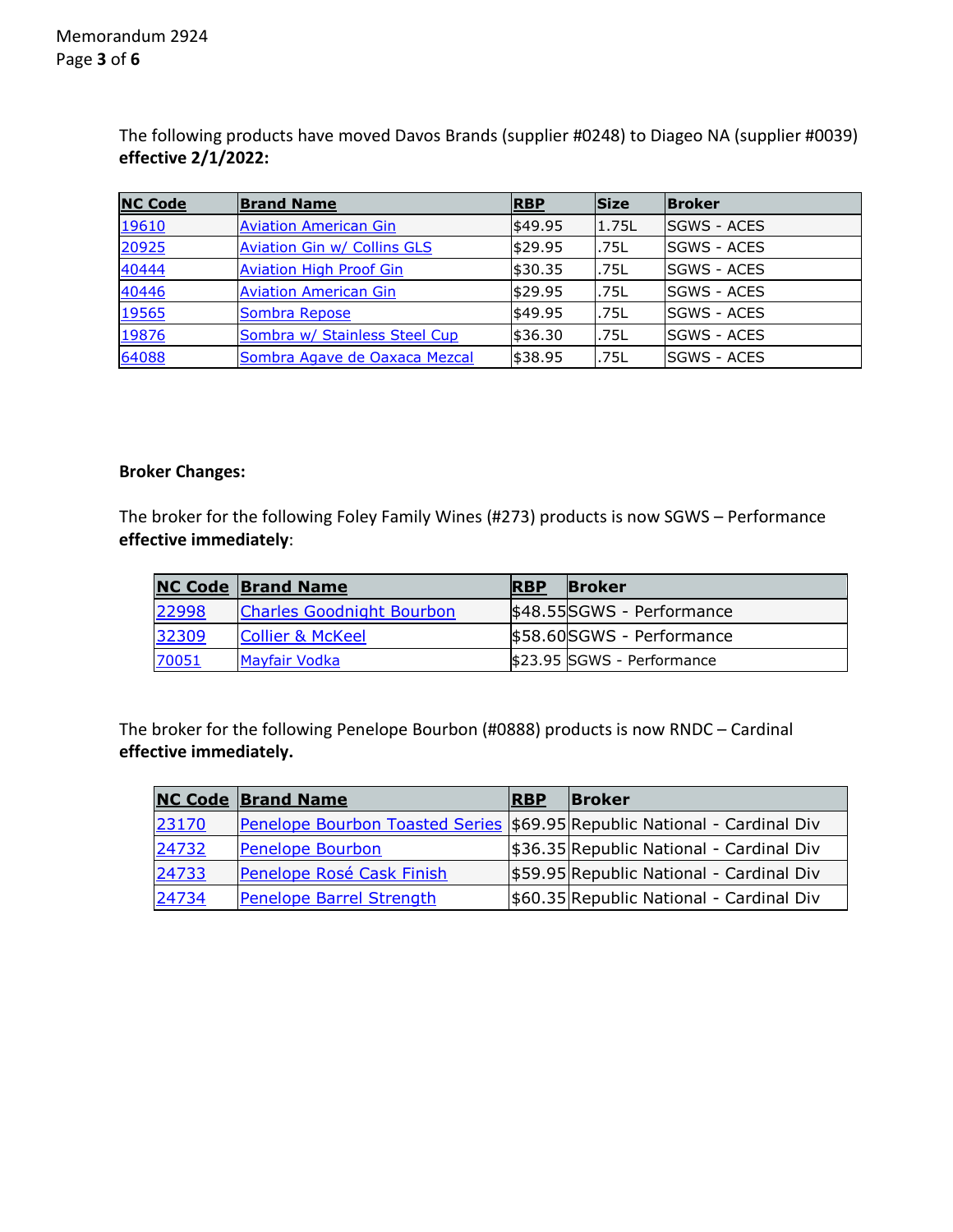The following products have moved Davos Brands (supplier #0248) to Diageo NA (supplier #0039) **effective 2/1/2022:**

| <b>NC Code</b> | <b>Brand Name</b>                  | <b>RBP</b> | <b>Size</b> | <b>Broker</b>       |
|----------------|------------------------------------|------------|-------------|---------------------|
| 19610          | <b>Aviation American Gin</b>       | \$49.95    | 1.75L       | <b>ISGWS - ACES</b> |
| 20925          | <b>Aviation Gin w/ Collins GLS</b> | \$29.95    | .75L        | <b>ISGWS - ACES</b> |
| 40444          | <b>Aviation High Proof Gin</b>     | \$30.35    | .75L        | ISGWS - ACES        |
| 40446          | <b>Aviation American Gin</b>       | \$29.95    | .75L        | <b>ISGWS - ACES</b> |
| 19565          | Sombra Repose                      | \$49.95    | .75L        | ISGWS - ACES        |
| 19876          | Sombra w/ Stainless Steel Cup      | \$36.30    | .75L        | <b>ISGWS - ACES</b> |
| 64088          | Sombra Agave de Oaxaca Mezcal      | \$38.95    | .75L        | ISGWS - ACES        |

### **Broker Changes:**

The broker for the following Foley Family Wines (#273) products is now SGWS – Performance **effective immediately**:

|       | <b>NC Code Brand Name</b>        | <b>RBP</b> | <b>Broker</b>              |
|-------|----------------------------------|------------|----------------------------|
| 22998 | <b>Charles Goodnight Bourbon</b> |            | \$48.55 SGWS - Performance |
| 32309 | <b>Collier &amp; McKeel</b>      |            | \$58.60 SGWS - Performance |
| 70051 | Mayfair Vodka                    |            | \$23.95 SGWS - Performance |

The broker for the following Penelope Bourbon (#0888) products is now RNDC – Cardinal **effective immediately.** 

|       | <b>NC Code Brand Name</b>                                                | <b>RBP</b> | <b>Broker</b>                            |
|-------|--------------------------------------------------------------------------|------------|------------------------------------------|
| 23170 | Penelope Bourbon Toasted Series \$69.95 Republic National - Cardinal Div |            |                                          |
| 24732 | <b>Penelope Bourbon</b>                                                  |            | \$36.35 Republic National - Cardinal Div |
| 24733 | Penelope Rosé Cask Finish                                                |            | \$59.95 Republic National - Cardinal Div |
| 24734 | Penelope Barrel Strength                                                 |            | \$60.35 Republic National - Cardinal Div |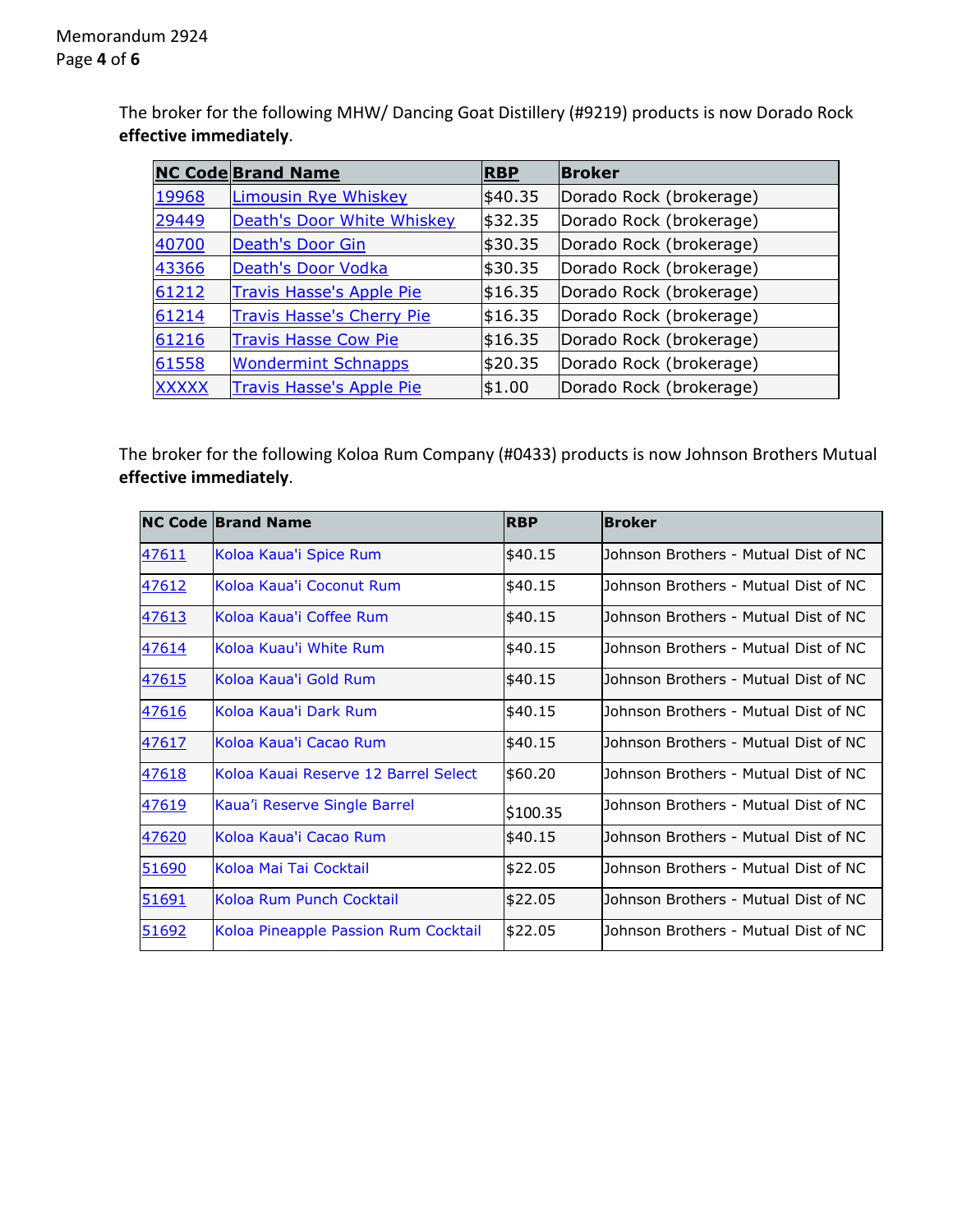The broker for the following MHW/ Dancing Goat Distillery (#9219) products is now Dorado Rock **effective immediately**.

|              | <b>NC Code Brand Name</b>         | <b>RBP</b> | <b>Broker</b>           |
|--------------|-----------------------------------|------------|-------------------------|
| 19968        | <b>Limousin Rye Whiskey</b>       | \$40.35    | Dorado Rock (brokerage) |
| 29449        | <b>Death's Door White Whiskey</b> | \$32.35    | Dorado Rock (brokerage) |
| 40700        | Death's Door Gin                  | \$30.35    | Dorado Rock (brokerage) |
| 43366        | Death's Door Vodka                | \$30.35    | Dorado Rock (brokerage) |
| 61212        | <b>Travis Hasse's Apple Pie</b>   | \$16.35    | Dorado Rock (brokerage) |
| 61214        | <b>Travis Hasse's Cherry Pie</b>  | \$16.35    | Dorado Rock (brokerage) |
| 61216        | <b>Travis Hasse Cow Pie</b>       | \$16.35    | Dorado Rock (brokerage) |
| 61558        | <b>Wondermint Schnapps</b>        | \$20.35    | Dorado Rock (brokerage) |
| <b>XXXXX</b> | <b>Travis Hasse's Apple Pie</b>   | \$1.00     | Dorado Rock (brokerage) |

The broker for the following Koloa Rum Company (#0433) products is now Johnson Brothers Mutual **effective immediately**.

|              | <b>NC Code Brand Name</b>            | <b>RBP</b> | <b>Broker</b>                        |
|--------------|--------------------------------------|------------|--------------------------------------|
| <u>47611</u> | Koloa Kaua'i Spice Rum               | \$40.15    | Johnson Brothers - Mutual Dist of NC |
| 47612        | Koloa Kaua'i Coconut Rum             | \$40.15    | Johnson Brothers - Mutual Dist of NC |
| <u>47613</u> | lKoloa Kaua'i Coffee Rum             | \$40.15    | Johnson Brothers - Mutual Dist of NC |
| 47614        | Koloa Kuau'i White Rum               | \$40.15    | Johnson Brothers - Mutual Dist of NC |
| 47615        | Koloa Kaua'i Gold Rum                | \$40.15    | Johnson Brothers - Mutual Dist of NC |
| 47616        | Koloa Kaua'i Dark Rum                | \$40.15    | Johnson Brothers - Mutual Dist of NC |
| 47617        | Koloa Kaua'i Cacao Rum               | \$40.15    | Johnson Brothers - Mutual Dist of NC |
| 47618        | Koloa Kauai Reserve 12 Barrel Select | \$60.20    | Johnson Brothers - Mutual Dist of NC |
| 47619        | Kaua'i Reserve Single Barrel         | \$100.35   | Johnson Brothers - Mutual Dist of NC |
| 47620        | Koloa Kaua'i Cacao Rum               | \$40.15    | Johnson Brothers - Mutual Dist of NC |
| 51690        | Koloa Mai Tai Cocktail               | \$22.05    | Johnson Brothers - Mutual Dist of NC |
| 51691        | Koloa Rum Punch Cocktail             | \$22.05    | Johnson Brothers - Mutual Dist of NC |
| 51692        | Koloa Pineapple Passion Rum Cocktail | \$22.05    | Johnson Brothers - Mutual Dist of NC |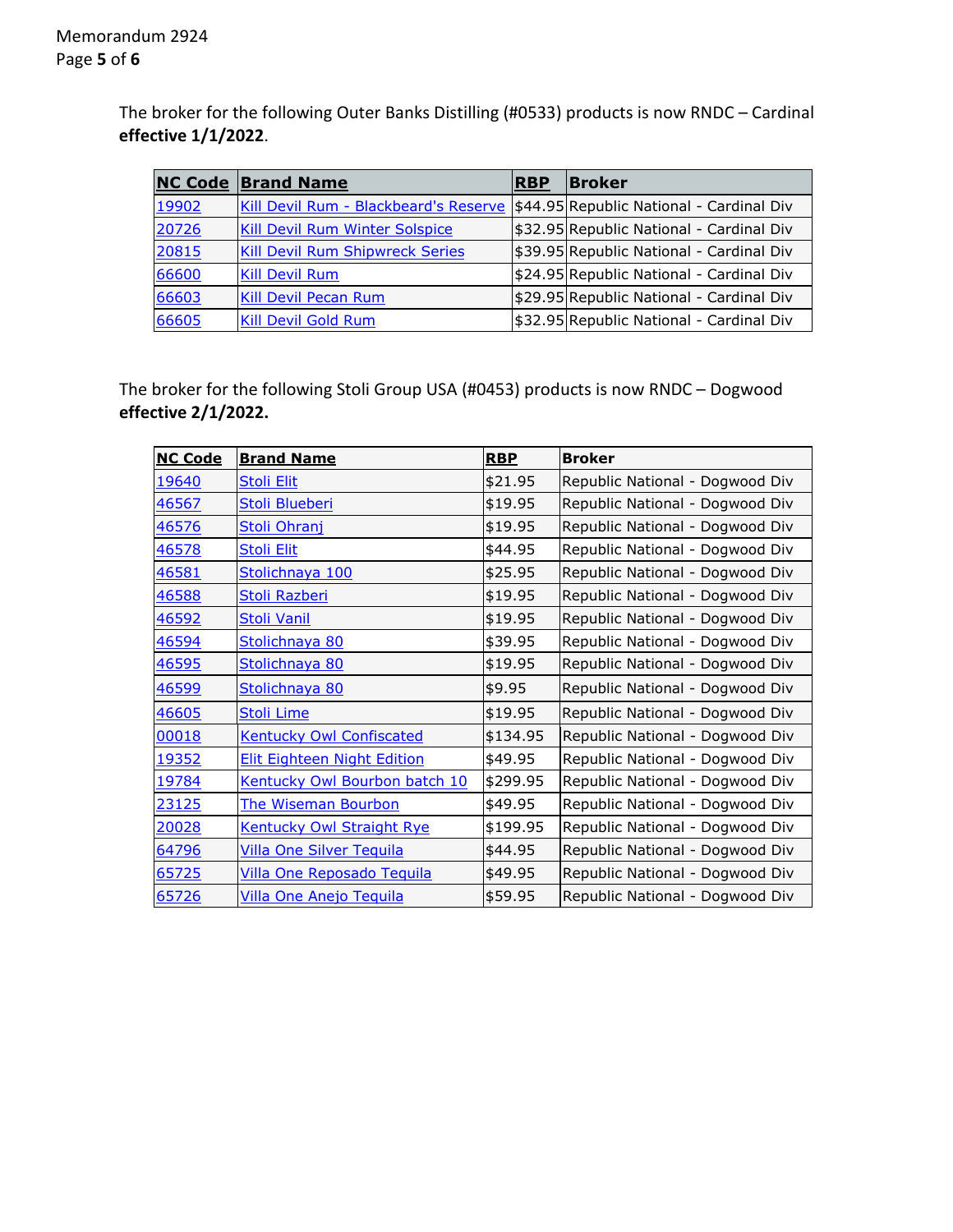The broker for the following Outer Banks Distilling (#0533) products is now RNDC – Cardinal **effective 1/1/2022**.

|       | <b>NC Code Brand Name</b>              | <b>RBP</b> | <b>Broker</b>                            |
|-------|----------------------------------------|------------|------------------------------------------|
| 19902 | Kill Devil Rum - Blackbeard's Reserve  |            | \$44.95 Republic National - Cardinal Div |
| 20726 | <b>Kill Devil Rum Winter Solspice</b>  |            | \$32.95 Republic National - Cardinal Div |
| 20815 | <b>Kill Devil Rum Shipwreck Series</b> |            | \$39.95 Republic National - Cardinal Div |
| 66600 | <b>Kill Devil Rum</b>                  |            | \$24.95 Republic National - Cardinal Div |
| 66603 | <b>Kill Devil Pecan Rum</b>            |            | \$29.95 Republic National - Cardinal Div |
| 66605 | Kill Devil Gold Rum                    |            | \$32.95 Republic National - Cardinal Div |

The broker for the following Stoli Group USA (#0453) products is now RNDC – Dogwood **effective 2/1/2022.**

| <b>NC Code</b> | <b>Brand Name</b>                  | <b>RBP</b> | <b>Broker</b>                   |
|----------------|------------------------------------|------------|---------------------------------|
| 19640          | <b>Stoli Elit</b>                  | \$21.95    | Republic National - Dogwood Div |
| 46567          | Stoli Blueberi                     | \$19.95    | Republic National - Dogwood Div |
| 46576          | Stoli Ohranj                       | \$19.95    | Republic National - Dogwood Div |
| 46578          | <b>Stoli Elit</b>                  | \$44.95    | Republic National - Dogwood Div |
| 46581          | Stolichnaya 100                    | \$25.95    | Republic National - Dogwood Div |
| 46588          | Stoli Razberi                      | \$19.95    | Republic National - Dogwood Div |
| 46592          | Stoli Vanil                        | \$19.95    | Republic National - Dogwood Div |
| 46594          | Stolichnaya 80                     | \$39.95    | Republic National - Dogwood Div |
| 46595          | Stolichnaya 80                     | \$19.95    | Republic National - Dogwood Div |
| 46599          | Stolichnaya 80                     | \$9.95     | Republic National - Dogwood Div |
| 46605          | Stoli Lime                         | \$19.95    | Republic National - Dogwood Div |
| 00018          | <b>Kentucky Owl Confiscated</b>    | \$134.95   | Republic National - Dogwood Div |
| 19352          | <b>Elit Eighteen Night Edition</b> | \$49.95    | Republic National - Dogwood Div |
| 19784          | Kentucky Owl Bourbon batch 10      | \$299.95   | Republic National - Dogwood Div |
| 23125          | The Wiseman Bourbon                | \$49.95    | Republic National - Dogwood Div |
| 20028          | <b>Kentucky Owl Straight Rye</b>   | \$199.95   | Republic National - Dogwood Div |
| 64796          | <b>Villa One Silver Tequila</b>    | \$44.95    | Republic National - Dogwood Div |
| 65725          | <b>Villa One Reposado Tequila</b>  | \$49.95    | Republic National - Dogwood Div |
| 65726          | <b>Villa One Anejo Tequila</b>     | \$59.95    | Republic National - Dogwood Div |